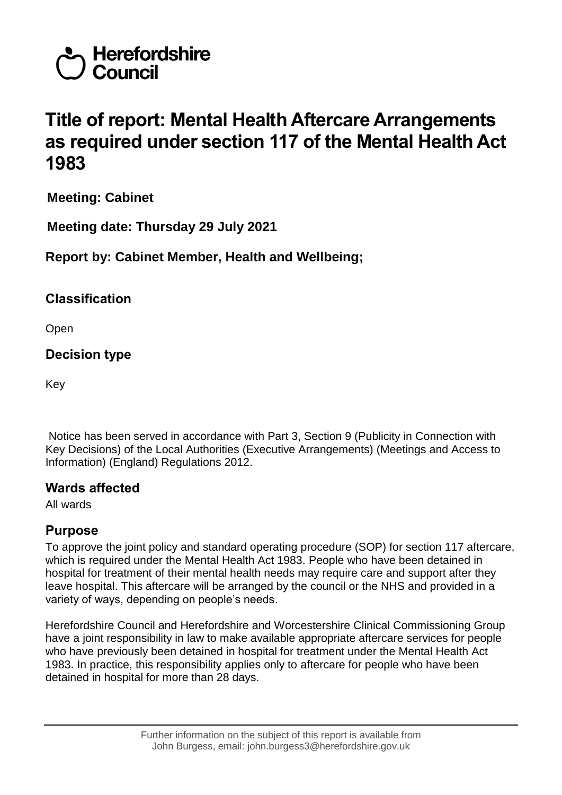

# **Title of report: Mental Health Aftercare Arrangements as required under section 117 of the Mental Health Act 1983**

**Meeting: Cabinet**

**Meeting date: Thursday 29 July 2021**

## **Report by: Cabinet Member, Health and Wellbeing;**

#### **Classification**

Open

**Decision type**

Key

Notice has been served in accordance with Part 3, Section 9 (Publicity in Connection with Key Decisions) of the Local Authorities (Executive Arrangements) (Meetings and Access to Information) (England) Regulations 2012.

# **Wards affected**

All wards

#### **Purpose**

To approve the joint policy and standard operating procedure (SOP) for section 117 aftercare, which is required under the Mental Health Act 1983. People who have been detained in hospital for treatment of their mental health needs may require care and support after they leave hospital. This aftercare will be arranged by the council or the NHS and provided in a variety of ways, depending on people's needs.

Herefordshire Council and Herefordshire and Worcestershire Clinical Commissioning Group have a joint responsibility in law to make available appropriate aftercare services for people who have previously been detained in hospital for treatment under the Mental Health Act 1983. In practice, this responsibility applies only to aftercare for people who have been detained in hospital for more than 28 days.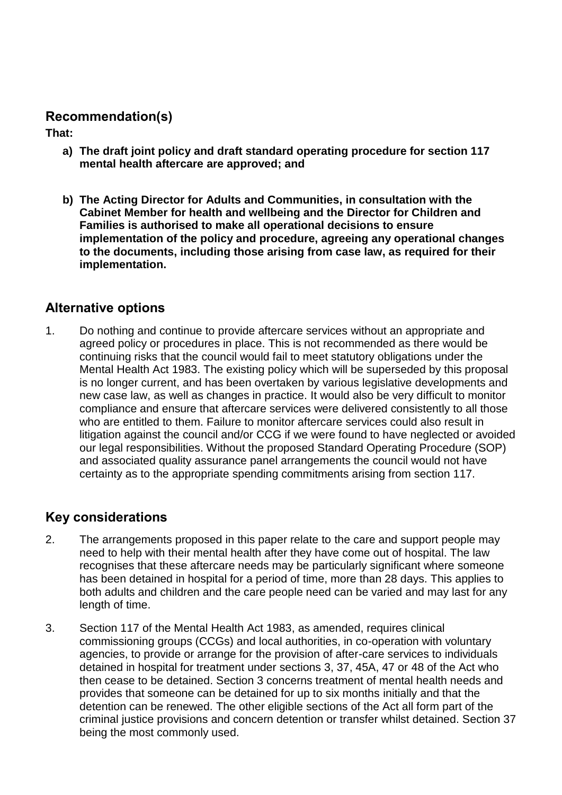#### **Recommendation(s)**

**That:**

- **a) The draft joint policy and draft standard operating procedure for section 117 mental health aftercare are approved; and**
- **b) The Acting Director for Adults and Communities, in consultation with the Cabinet Member for health and wellbeing and the Director for Children and Families is authorised to make all operational decisions to ensure implementation of the policy and procedure, agreeing any operational changes to the documents, including those arising from case law, as required for their implementation.**

#### **Alternative options**

1. Do nothing and continue to provide aftercare services without an appropriate and agreed policy or procedures in place. This is not recommended as there would be continuing risks that the council would fail to meet statutory obligations under the Mental Health Act 1983. The existing policy which will be superseded by this proposal is no longer current, and has been overtaken by various legislative developments and new case law, as well as changes in practice. It would also be very difficult to monitor compliance and ensure that aftercare services were delivered consistently to all those who are entitled to them. Failure to monitor aftercare services could also result in litigation against the council and/or CCG if we were found to have neglected or avoided our legal responsibilities. Without the proposed Standard Operating Procedure (SOP) and associated quality assurance panel arrangements the council would not have certainty as to the appropriate spending commitments arising from section 117.

# **Key considerations**

- 2. The arrangements proposed in this paper relate to the care and support people may need to help with their mental health after they have come out of hospital. The law recognises that these aftercare needs may be particularly significant where someone has been detained in hospital for a period of time, more than 28 days. This applies to both adults and children and the care people need can be varied and may last for any length of time.
- 3. Section 117 of the Mental Health Act 1983, as amended, requires clinical commissioning groups (CCGs) and local authorities, in co-operation with voluntary agencies, to provide or arrange for the provision of after-care services to individuals detained in hospital for treatment under sections 3, 37, 45A, 47 or 48 of the Act who then cease to be detained. Section 3 concerns treatment of mental health needs and provides that someone can be detained for up to six months initially and that the detention can be renewed. The other eligible sections of the Act all form part of the criminal justice provisions and concern detention or transfer whilst detained. Section 37 being the most commonly used.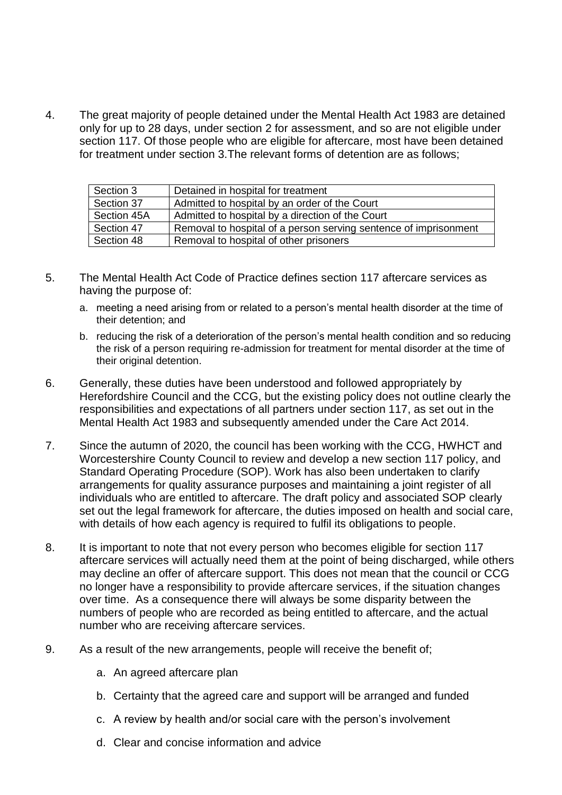4. The great majority of people detained under the Mental Health Act 1983 are detained only for up to 28 days, under section 2 for assessment, and so are not eligible under section 117. Of those people who are eligible for aftercare, most have been detained for treatment under section 3.The relevant forms of detention are as follows;

| Section 3   | Detained in hospital for treatment                               |
|-------------|------------------------------------------------------------------|
| Section 37  | Admitted to hospital by an order of the Court                    |
| Section 45A | Admitted to hospital by a direction of the Court                 |
| Section 47  | Removal to hospital of a person serving sentence of imprisonment |
| Section 48  | Removal to hospital of other prisoners                           |

- 5. The Mental Health Act Code of Practice defines section 117 aftercare services as having the purpose of:
	- a. meeting a need arising from or related to a person's mental health disorder at the time of their detention; and
	- b. reducing the risk of a deterioration of the person's mental health condition and so reducing the risk of a person requiring re-admission for treatment for mental disorder at the time of their original detention.
- 6. Generally, these duties have been understood and followed appropriately by Herefordshire Council and the CCG, but the existing policy does not outline clearly the responsibilities and expectations of all partners under section 117, as set out in the Mental Health Act 1983 and subsequently amended under the Care Act 2014.
- 7. Since the autumn of 2020, the council has been working with the CCG, HWHCT and Worcestershire County Council to review and develop a new section 117 policy, and Standard Operating Procedure (SOP). Work has also been undertaken to clarify arrangements for quality assurance purposes and maintaining a joint register of all individuals who are entitled to aftercare. The draft policy and associated SOP clearly set out the legal framework for aftercare, the duties imposed on health and social care, with details of how each agency is required to fulfil its obligations to people.
- 8. It is important to note that not every person who becomes eligible for section 117 aftercare services will actually need them at the point of being discharged, while others may decline an offer of aftercare support. This does not mean that the council or CCG no longer have a responsibility to provide aftercare services, if the situation changes over time. As a consequence there will always be some disparity between the numbers of people who are recorded as being entitled to aftercare, and the actual number who are receiving aftercare services.
- 9. As a result of the new arrangements, people will receive the benefit of;
	- a. An agreed aftercare plan
	- b. Certainty that the agreed care and support will be arranged and funded
	- c. A review by health and/or social care with the person's involvement
	- d. Clear and concise information and advice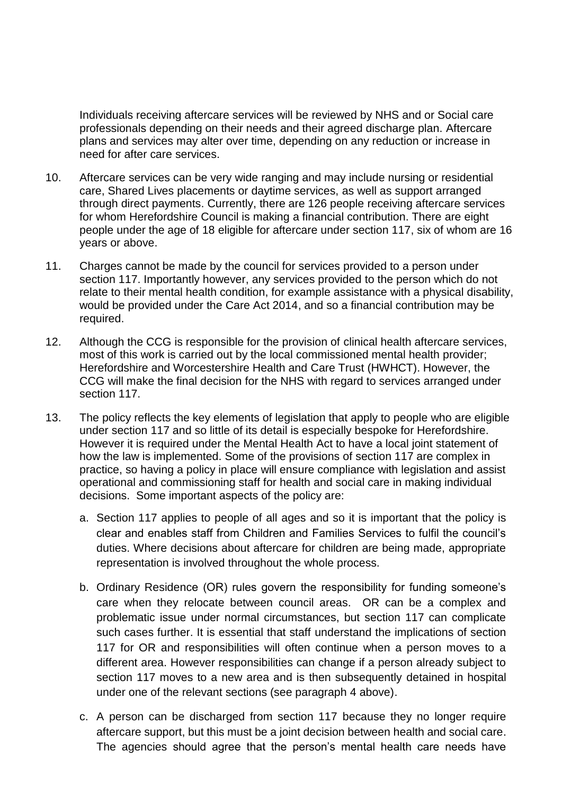Individuals receiving aftercare services will be reviewed by NHS and or Social care professionals depending on their needs and their agreed discharge plan. Aftercare plans and services may alter over time, depending on any reduction or increase in need for after care services.

- 10. Aftercare services can be very wide ranging and may include nursing or residential care, Shared Lives placements or daytime services, as well as support arranged through direct payments. Currently, there are 126 people receiving aftercare services for whom Herefordshire Council is making a financial contribution. There are eight people under the age of 18 eligible for aftercare under section 117, six of whom are 16 years or above.
- 11. Charges cannot be made by the council for services provided to a person under section 117. Importantly however, any services provided to the person which do not relate to their mental health condition, for example assistance with a physical disability, would be provided under the Care Act 2014, and so a financial contribution may be required.
- 12. Although the CCG is responsible for the provision of clinical health aftercare services, most of this work is carried out by the local commissioned mental health provider; Herefordshire and Worcestershire Health and Care Trust (HWHCT). However, the CCG will make the final decision for the NHS with regard to services arranged under section 117.
- 13. The policy reflects the key elements of legislation that apply to people who are eligible under section 117 and so little of its detail is especially bespoke for Herefordshire. However it is required under the Mental Health Act to have a local joint statement of how the law is implemented. Some of the provisions of section 117 are complex in practice, so having a policy in place will ensure compliance with legislation and assist operational and commissioning staff for health and social care in making individual decisions. Some important aspects of the policy are:
	- a. Section 117 applies to people of all ages and so it is important that the policy is clear and enables staff from Children and Families Services to fulfil the council's duties. Where decisions about aftercare for children are being made, appropriate representation is involved throughout the whole process.
	- b. Ordinary Residence (OR) rules govern the responsibility for funding someone's care when they relocate between council areas. OR can be a complex and problematic issue under normal circumstances, but section 117 can complicate such cases further. It is essential that staff understand the implications of section 117 for OR and responsibilities will often continue when a person moves to a different area. However responsibilities can change if a person already subject to section 117 moves to a new area and is then subsequently detained in hospital under one of the relevant sections (see paragraph 4 above).
	- c. A person can be discharged from section 117 because they no longer require aftercare support, but this must be a joint decision between health and social care. The agencies should agree that the person's mental health care needs have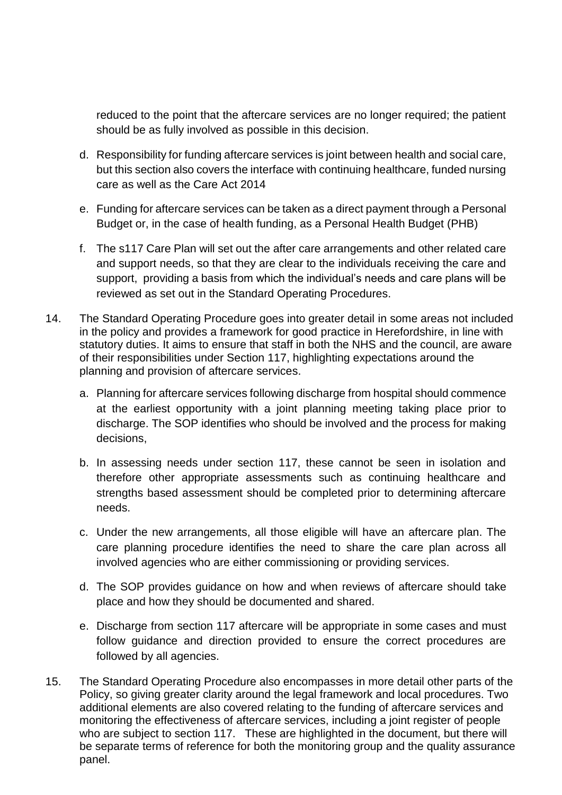reduced to the point that the aftercare services are no longer required; the patient should be as fully involved as possible in this decision.

- d. Responsibility for funding aftercare services is joint between health and social care, but this section also covers the interface with continuing healthcare, funded nursing care as well as the Care Act 2014
- e. Funding for aftercare services can be taken as a direct payment through a Personal Budget or, in the case of health funding, as a Personal Health Budget (PHB)
- f. The s117 Care Plan will set out the after care arrangements and other related care and support needs, so that they are clear to the individuals receiving the care and support, providing a basis from which the individual's needs and care plans will be reviewed as set out in the Standard Operating Procedures.
- 14. The Standard Operating Procedure goes into greater detail in some areas not included in the policy and provides a framework for good practice in Herefordshire, in line with statutory duties. It aims to ensure that staff in both the NHS and the council, are aware of their responsibilities under Section 117, highlighting expectations around the planning and provision of aftercare services.
	- a. Planning for aftercare services following discharge from hospital should commence at the earliest opportunity with a joint planning meeting taking place prior to discharge. The SOP identifies who should be involved and the process for making decisions,
	- b. In assessing needs under section 117, these cannot be seen in isolation and therefore other appropriate assessments such as continuing healthcare and strengths based assessment should be completed prior to determining aftercare needs.
	- c. Under the new arrangements, all those eligible will have an aftercare plan. The care planning procedure identifies the need to share the care plan across all involved agencies who are either commissioning or providing services.
	- d. The SOP provides guidance on how and when reviews of aftercare should take place and how they should be documented and shared.
	- e. Discharge from section 117 aftercare will be appropriate in some cases and must follow guidance and direction provided to ensure the correct procedures are followed by all agencies.
- 15. The Standard Operating Procedure also encompasses in more detail other parts of the Policy, so giving greater clarity around the legal framework and local procedures. Two additional elements are also covered relating to the funding of aftercare services and monitoring the effectiveness of aftercare services, including a joint register of people who are subject to section 117. These are highlighted in the document, but there will be separate terms of reference for both the monitoring group and the quality assurance panel.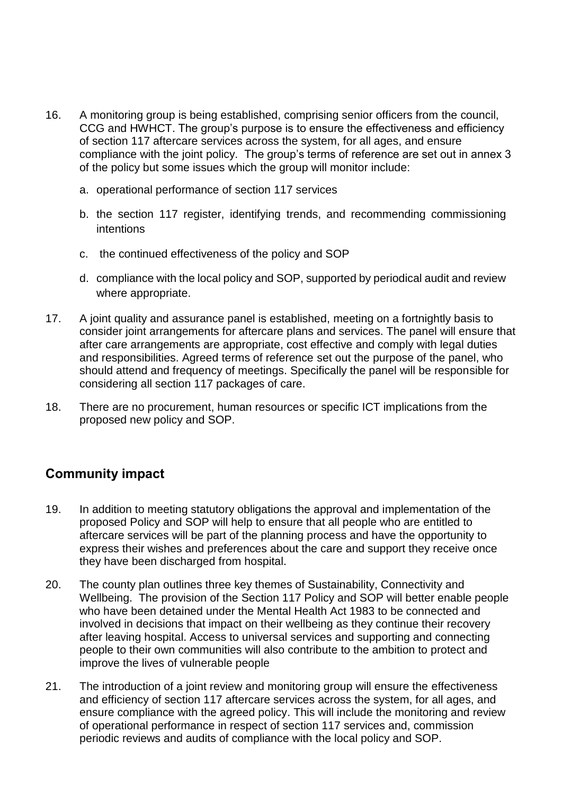- 16. A monitoring group is being established, comprising senior officers from the council, CCG and HWHCT. The group's purpose is to ensure the effectiveness and efficiency of section 117 aftercare services across the system, for all ages, and ensure compliance with the joint policy. The group's terms of reference are set out in annex 3 of the policy but some issues which the group will monitor include:
	- a. operational performance of section 117 services
	- b. the section 117 register, identifying trends, and recommending commissioning intentions
	- c. the continued effectiveness of the policy and SOP
	- d. compliance with the local policy and SOP, supported by periodical audit and review where appropriate.
- 17. A joint quality and assurance panel is established, meeting on a fortnightly basis to consider joint arrangements for aftercare plans and services. The panel will ensure that after care arrangements are appropriate, cost effective and comply with legal duties and responsibilities. Agreed terms of reference set out the purpose of the panel, who should attend and frequency of meetings. Specifically the panel will be responsible for considering all section 117 packages of care.
- 18. There are no procurement, human resources or specific ICT implications from the proposed new policy and SOP.

# **Community impact**

- 19. In addition to meeting statutory obligations the approval and implementation of the proposed Policy and SOP will help to ensure that all people who are entitled to aftercare services will be part of the planning process and have the opportunity to express their wishes and preferences about the care and support they receive once they have been discharged from hospital.
- 20. The county plan outlines three key themes of Sustainability, Connectivity and Wellbeing. The provision of the Section 117 Policy and SOP will better enable people who have been detained under the Mental Health Act 1983 to be connected and involved in decisions that impact on their wellbeing as they continue their recovery after leaving hospital. Access to universal services and supporting and connecting people to their own communities will also contribute to the ambition to protect and improve the lives of vulnerable people
- 21. The introduction of a joint review and monitoring group will ensure the effectiveness and efficiency of section 117 aftercare services across the system, for all ages, and ensure compliance with the agreed policy. This will include the monitoring and review of operational performance in respect of section 117 services and, commission periodic reviews and audits of compliance with the local policy and SOP.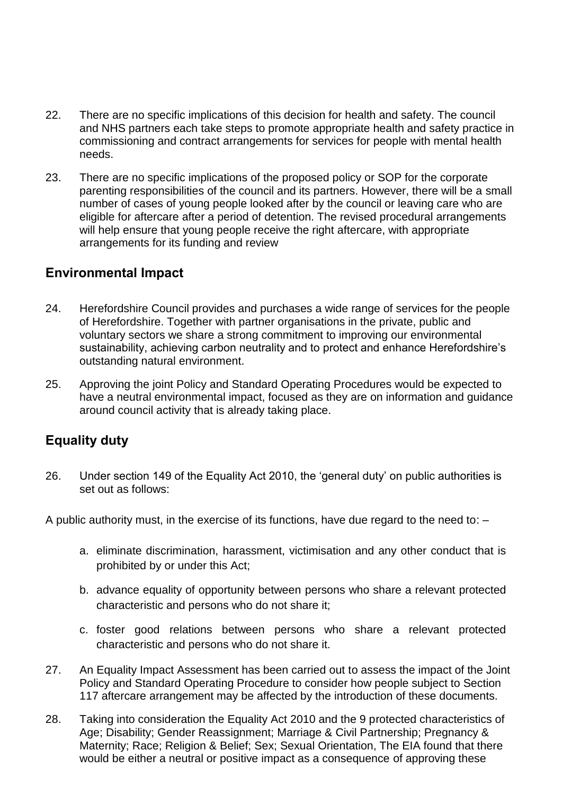- 22. There are no specific implications of this decision for health and safety. The council and NHS partners each take steps to promote appropriate health and safety practice in commissioning and contract arrangements for services for people with mental health needs.
- 23. There are no specific implications of the proposed policy or SOP for the corporate parenting responsibilities of the council and its partners. However, there will be a small number of cases of young people looked after by the council or leaving care who are eligible for aftercare after a period of detention. The revised procedural arrangements will help ensure that young people receive the right aftercare, with appropriate arrangements for its funding and review

#### **Environmental Impact**

- 24. Herefordshire Council provides and purchases a wide range of services for the people of Herefordshire. Together with partner organisations in the private, public and voluntary sectors we share a strong commitment to improving our environmental sustainability, achieving carbon neutrality and to protect and enhance Herefordshire's outstanding natural environment.
- 25. Approving the joint Policy and Standard Operating Procedures would be expected to have a neutral environmental impact, focused as they are on information and guidance around council activity that is already taking place.

# **Equality duty**

26. Under section 149 of the Equality Act 2010, the 'general duty' on public authorities is set out as follows:

A public authority must, in the exercise of its functions, have due regard to the need to: –

- a. eliminate discrimination, harassment, victimisation and any other conduct that is prohibited by or under this Act;
- b. advance equality of opportunity between persons who share a relevant protected characteristic and persons who do not share it;
- c. foster good relations between persons who share a relevant protected characteristic and persons who do not share it.
- 27. An Equality Impact Assessment has been carried out to assess the impact of the Joint Policy and Standard Operating Procedure to consider how people subject to Section 117 aftercare arrangement may be affected by the introduction of these documents.
- 28. Taking into consideration the Equality Act 2010 and the 9 protected characteristics of Age; Disability; Gender Reassignment; Marriage & Civil Partnership; Pregnancy & Maternity; Race; Religion & Belief; Sex; Sexual Orientation, The EIA found that there would be either a neutral or positive impact as a consequence of approving these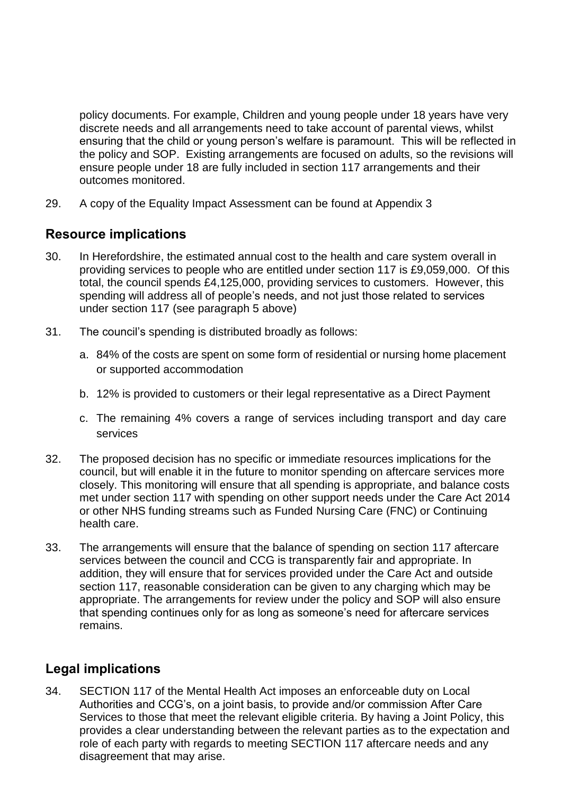policy documents. For example, Children and young people under 18 years have very discrete needs and all arrangements need to take account of parental views, whilst ensuring that the child or young person's welfare is paramount. This will be reflected in the policy and SOP. Existing arrangements are focused on adults, so the revisions will ensure people under 18 are fully included in section 117 arrangements and their outcomes monitored.

29. A copy of the Equality Impact Assessment can be found at Appendix 3

#### **Resource implications**

- 30. In Herefordshire, the estimated annual cost to the health and care system overall in providing services to people who are entitled under section 117 is £9,059,000. Of this total, the council spends £4,125,000, providing services to customers. However, this spending will address all of people's needs, and not just those related to services under section 117 (see paragraph 5 above)
- 31. The council's spending is distributed broadly as follows:
	- a. 84% of the costs are spent on some form of residential or nursing home placement or supported accommodation
	- b. 12% is provided to customers or their legal representative as a Direct Payment
	- c. The remaining 4% covers a range of services including transport and day care services
- 32. The proposed decision has no specific or immediate resources implications for the council, but will enable it in the future to monitor spending on aftercare services more closely. This monitoring will ensure that all spending is appropriate, and balance costs met under section 117 with spending on other support needs under the Care Act 2014 or other NHS funding streams such as Funded Nursing Care (FNC) or Continuing health care.
- 33. The arrangements will ensure that the balance of spending on section 117 aftercare services between the council and CCG is transparently fair and appropriate. In addition, they will ensure that for services provided under the Care Act and outside section 117, reasonable consideration can be given to any charging which may be appropriate. The arrangements for review under the policy and SOP will also ensure that spending continues only for as long as someone's need for aftercare services remains.

#### **Legal implications**

34. SECTION 117 of the Mental Health Act imposes an enforceable duty on Local Authorities and CCG's, on a joint basis, to provide and/or commission After Care Services to those that meet the relevant eligible criteria. By having a Joint Policy, this provides a clear understanding between the relevant parties as to the expectation and role of each party with regards to meeting SECTION 117 aftercare needs and any disagreement that may arise.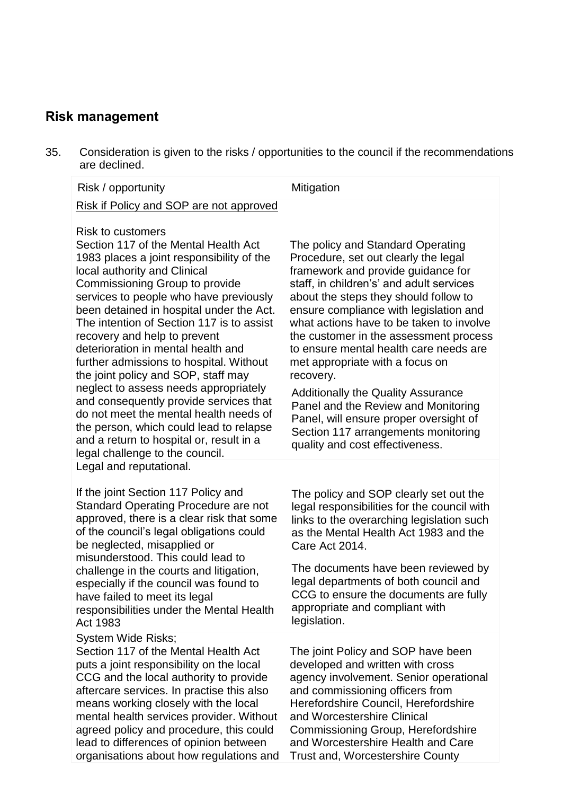# **Risk management**

35. Consideration is given to the risks / opportunities to the council if the recommendations are declined.

| are declined.                                                                                                                                                                                                                                                                                                                                                                                                                                                                                                                                                                                                                                                                                                                                                |                                                                                                                                                                                                                                                                                                                                                                                                                                                                                                                                                                                                                                        |
|--------------------------------------------------------------------------------------------------------------------------------------------------------------------------------------------------------------------------------------------------------------------------------------------------------------------------------------------------------------------------------------------------------------------------------------------------------------------------------------------------------------------------------------------------------------------------------------------------------------------------------------------------------------------------------------------------------------------------------------------------------------|----------------------------------------------------------------------------------------------------------------------------------------------------------------------------------------------------------------------------------------------------------------------------------------------------------------------------------------------------------------------------------------------------------------------------------------------------------------------------------------------------------------------------------------------------------------------------------------------------------------------------------------|
| Risk / opportunity                                                                                                                                                                                                                                                                                                                                                                                                                                                                                                                                                                                                                                                                                                                                           | Mitigation                                                                                                                                                                                                                                                                                                                                                                                                                                                                                                                                                                                                                             |
| Risk if Policy and SOP are not approved                                                                                                                                                                                                                                                                                                                                                                                                                                                                                                                                                                                                                                                                                                                      |                                                                                                                                                                                                                                                                                                                                                                                                                                                                                                                                                                                                                                        |
| <b>Risk to customers</b><br>Section 117 of the Mental Health Act<br>1983 places a joint responsibility of the<br>local authority and Clinical<br>Commissioning Group to provide<br>services to people who have previously<br>been detained in hospital under the Act.<br>The intention of Section 117 is to assist<br>recovery and help to prevent<br>deterioration in mental health and<br>further admissions to hospital. Without<br>the joint policy and SOP, staff may<br>neglect to assess needs appropriately<br>and consequently provide services that<br>do not meet the mental health needs of<br>the person, which could lead to relapse<br>and a return to hospital or, result in a<br>legal challenge to the council.<br>Legal and reputational. | The policy and Standard Operating<br>Procedure, set out clearly the legal<br>framework and provide guidance for<br>staff, in children's' and adult services<br>about the steps they should follow to<br>ensure compliance with legislation and<br>what actions have to be taken to involve<br>the customer in the assessment process<br>to ensure mental health care needs are<br>met appropriate with a focus on<br>recovery.<br><b>Additionally the Quality Assurance</b><br>Panel and the Review and Monitoring<br>Panel, will ensure proper oversight of<br>Section 117 arrangements monitoring<br>quality and cost effectiveness. |
| If the joint Section 117 Policy and<br><b>Standard Operating Procedure are not</b><br>approved, there is a clear risk that some<br>of the council's legal obligations could<br>be neglected, misapplied or                                                                                                                                                                                                                                                                                                                                                                                                                                                                                                                                                   | The policy and SOP clearly set out the<br>legal responsibilities for the council with<br>links to the overarching legislation such<br>as the Mental Health Act 1983 and the<br>Care Act 2014.                                                                                                                                                                                                                                                                                                                                                                                                                                          |
| misunderstood. This could lead to<br>challenge in the courts and litigation,<br>especially if the council was found to<br>have failed to meet its legal<br>responsibilities under the Mental Health<br>Act 1983                                                                                                                                                                                                                                                                                                                                                                                                                                                                                                                                              | The documents have been reviewed by<br>legal departments of both council and<br>CCG to ensure the documents are fully<br>appropriate and compliant with<br>legislation.                                                                                                                                                                                                                                                                                                                                                                                                                                                                |
| System Wide Risks;<br>Section 117 of the Mental Health Act<br>puts a joint responsibility on the local<br>CCG and the local authority to provide<br>aftercare services. In practise this also<br>means working closely with the local<br>mental health services provider. Without<br>agreed policy and procedure, this could                                                                                                                                                                                                                                                                                                                                                                                                                                 | The joint Policy and SOP have been<br>developed and written with cross<br>agency involvement. Senior operational<br>and commissioning officers from<br>Herefordshire Council, Herefordshire<br>and Worcestershire Clinical<br>Commissioning Group, Herefordshire                                                                                                                                                                                                                                                                                                                                                                       |

organisations about how regulations and Trust and, Worcestershire County

and Worcestershire Health and Care

lead to differences of opinion between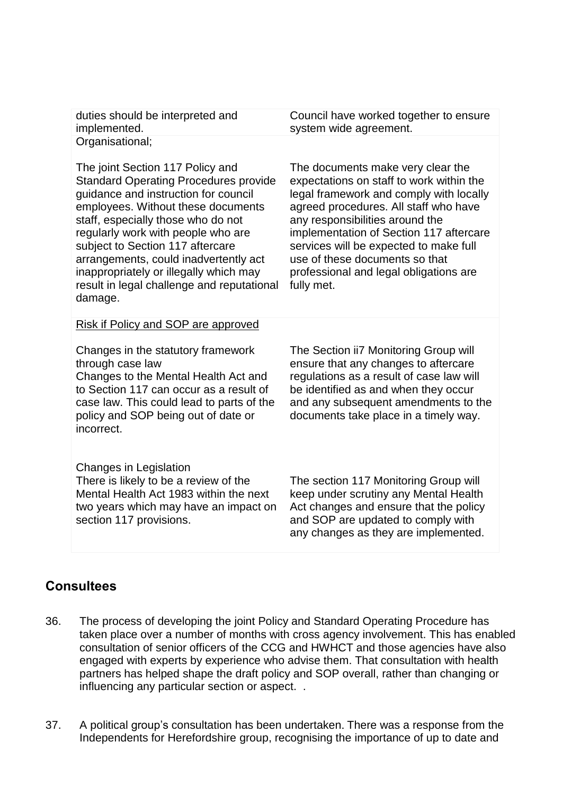duties should be interpreted and implemented. Organisational;

Council have worked together to ensure system wide agreement.

The joint Section 117 Policy and Standard Operating Procedures provide guidance and instruction for council employees. Without these documents staff, especially those who do not regularly work with people who are subject to Section 117 aftercare arrangements, could inadvertently act inappropriately or illegally which may result in legal challenge and reputational damage. The documents make very clear the expectations on staff to work within the legal framework and comply with locally agreed procedures. All staff who have any responsibilities around the implementation of Section 117 aftercare services will be expected to make full use of these documents so that professional and legal obligations are fully met. Risk if Policy and SOP are approved Changes in the statutory framework through case law Changes to the Mental Health Act and

to Section 117 can occur as a result of case law. This could lead to parts of the policy and SOP being out of date or incorrect.

Changes in Legislation There is likely to be a review of the Mental Health Act 1983 within the next two years which may have an impact on section 117 provisions.

The Section ii7 Monitoring Group will ensure that any changes to aftercare regulations as a result of case law will be identified as and when they occur and any subsequent amendments to the documents take place in a timely way.

The section 117 Monitoring Group will keep under scrutiny any Mental Health Act changes and ensure that the policy and SOP are updated to comply with any changes as they are implemented.

#### **Consultees**

- 36. The process of developing the joint Policy and Standard Operating Procedure has taken place over a number of months with cross agency involvement. This has enabled consultation of senior officers of the CCG and HWHCT and those agencies have also engaged with experts by experience who advise them. That consultation with health partners has helped shape the draft policy and SOP overall, rather than changing or influencing any particular section or aspect. .
- 37. A political group's consultation has been undertaken. There was a response from the Independents for Herefordshire group, recognising the importance of up to date and